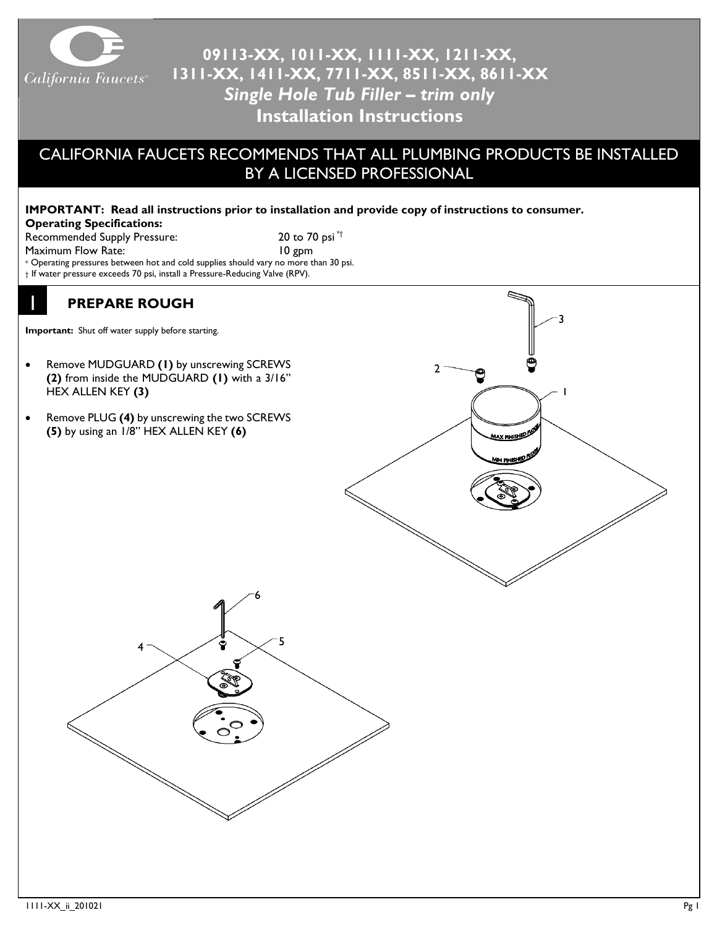

# **09113-XX, 1011-XX, 1111-XX, 1211-XX, 1311-XX, 1411-XX, 7711-XX, 8511-XX, 8611-XX** *Single Hole Tub Filler – trim only* **Installation Instructions**

### CALIFORNIA FAUCETS RECOMMENDS THAT ALL PLUMBING PRODUCTS BE INSTALLED BY A LICENSED PROFESSIONAL

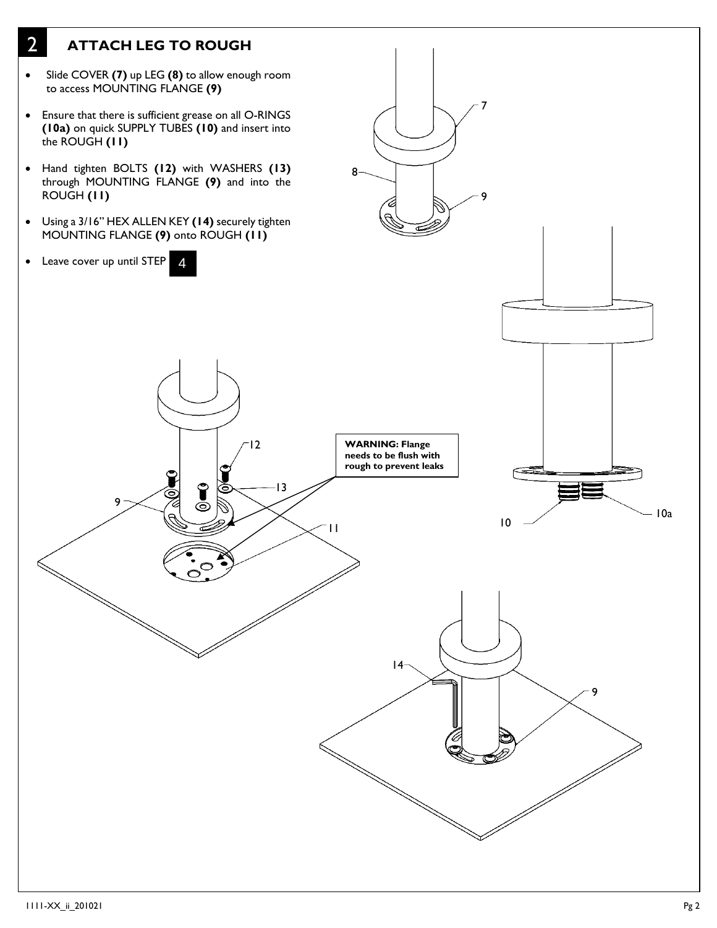## 2 **ATTACH LEG TO ROUGH**

- Slide COVER **(7)** up LEG **(8)** to allow enough room to access MOUNTING FLANGE **(9)**
- Ensure that there is sufficient grease on all O-RINGS **(10a)** on quick SUPPLY TUBES **(10)** and insert into the ROUGH **(11)**
- Hand tighten BOLTS **(12)** with WASHERS **(13)** through MOUNTING FLANGE **(9)** and into the ROUGH **(11)**
- Using a 3/16" HEX ALLEN KEY **(14)** securely tighten MOUNTING FLANGE **(9)** onto ROUGH **(11)**

12

 $\bullet$ 

13

• Leave cover up until STEP 4

9